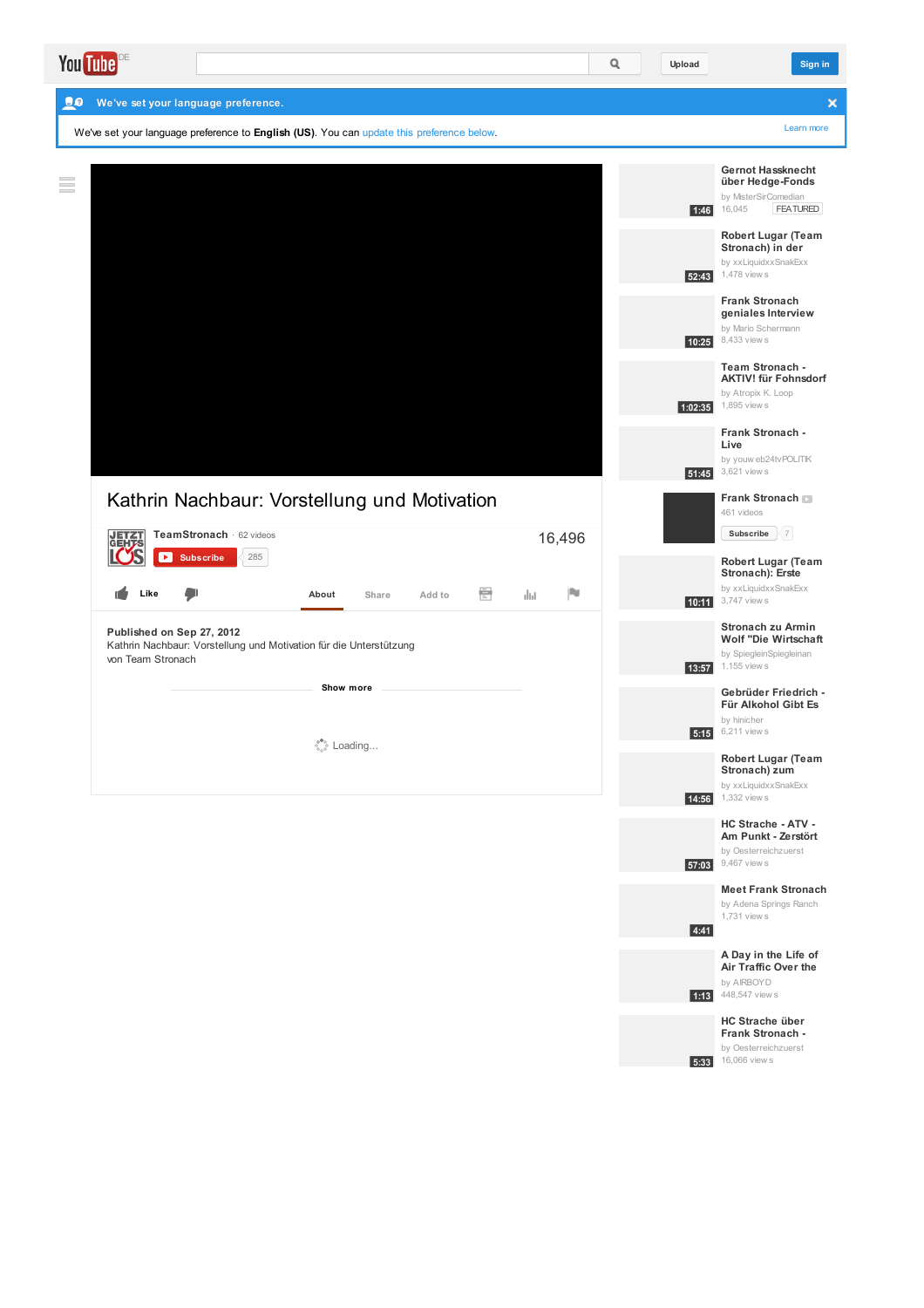| DE<br><b>You Tube</b>                                                                                                |        | Q | Upload  | Sign in                                                                                         |
|----------------------------------------------------------------------------------------------------------------------|--------|---|---------|-------------------------------------------------------------------------------------------------|
| 20<br>We've set your language preference.                                                                            |        |   |         | ×                                                                                               |
| We've set your language preference to English (US). You can update this preference below.                            |        |   |         | Learn more                                                                                      |
| $\equiv$                                                                                                             |        |   | 1:46    | Gernot Hassknecht<br>über Hedge-Fonds<br>by MisterSirComedian<br>16,045<br><b>FEATURED</b>      |
|                                                                                                                      |        |   |         | <b>Robert Lugar (Team</b><br>Stronach) in der<br>by xxLiquidxxSnakExx<br>52:43 1,478 views      |
|                                                                                                                      |        |   |         | <b>Frank Stronach</b><br>geniales Interview<br>by Mario Schermann<br>10:25 8,433 view s         |
|                                                                                                                      |        |   | 1:02:35 | Team Stronach -<br><b>AKTIV! für Fohnsdorf</b><br>by Atropix K. Loop<br>1,895 view s            |
|                                                                                                                      |        |   |         | Frank Stronach -<br>Live<br>by youw eb24tvPOLITIK<br>51:45 3,621 views                          |
| Kathrin Nachbaur: Vorstellung und Motivation<br>TeamStronach · 62 videos<br><b>JETZT</b><br>285<br>×                 | 16,496 |   |         | Frank Stronach<br>461 videos<br>$\langle 7 \rangle$<br>Subscribe                                |
| <b>Subscribe</b><br>를<br>Like<br>Add to<br>dul.<br>About<br>Share                                                    | jn.    |   |         | <b>Robert Lugar (Team</b><br>Stronach): Erste<br>by xxLiquidxxSnakExx<br>10:11 3,747 views      |
| Published on Sep 27, 2012<br>Kathrin Nachbaur: Vorstellung und Motivation für die Unterstützung<br>von Team Stronach |        |   | 13:57   | Stronach zu Armin<br><b>Wolf "Die Wirtschaft</b><br>by SpiegleinSpiegleinan<br>1,155 view s     |
| Show more<br>Dading                                                                                                  |        |   |         | Gebrüder Friedrich -<br>Für Alkohol Gibt Es<br>by hinicher<br>5:15 6,211 view s                 |
|                                                                                                                      |        |   |         | <b>Robert Lugar (Team</b><br>Stronach) zum<br>by xxLiquidxxSnakExx<br><b>14:56</b> 1,332 view s |
|                                                                                                                      |        |   |         | HC Strache - ATV -<br>Am Punkt - Zerstört<br>by Oesterreichzuerst<br>57:03 9,467 views          |
|                                                                                                                      |        |   | 4:41    | <b>Meet Frank Stronach</b><br>by Adena Springs Ranch<br>1,731 view s                            |
|                                                                                                                      |        |   |         | A Day in the Life of<br>Air Traffic Over the<br>by AIRBOYD<br><b>1:13</b> 448,547 view s        |

**HC Strache über Frank Stronach -**

by [Oesterreichzuerst](http://www.youtube.com/watch?v=im9rR7N9Gf8)<br>16,066 view s